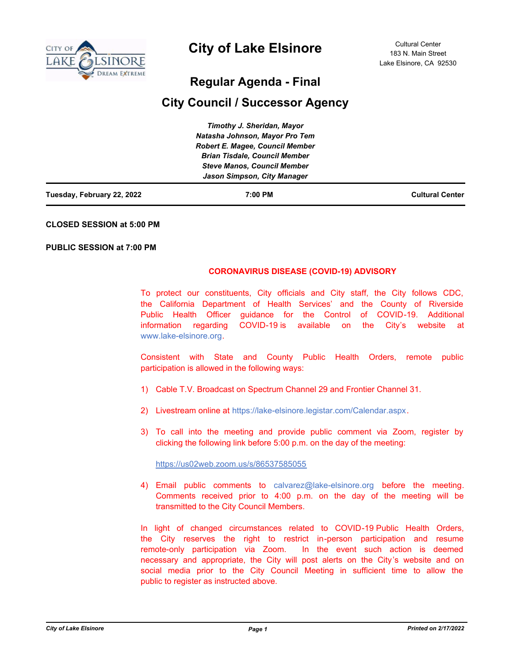

# **City of Lake Elsinore**

# **Regular Agenda - Final**

# **City Council / Successor Agency**

| Tuesday, February 22, 2022 | 7:00 PM                                | <b>Cultural Center</b> |
|----------------------------|----------------------------------------|------------------------|
|                            | Jason Simpson, City Manager            |                        |
|                            | <b>Steve Manos, Council Member</b>     |                        |
|                            | <b>Brian Tisdale, Council Member</b>   |                        |
|                            | <b>Robert E. Magee, Council Member</b> |                        |
|                            | Natasha Johnson, Mayor Pro Tem         |                        |
|                            | Timothy J. Sheridan, Mayor             |                        |

## **CLOSED SESSION at 5:00 PM**

## **PUBLIC SESSION at 7:00 PM**

# **CORONAVIRUS DISEASE (COVID-19) ADVISORY**

To protect our constituents, City officials and City staff, the City follows CDC, the California Department of Health Services' and the County of Riverside Public Health Officer guidance for the Control of COVID-19. Additional information regarding COVID-19 is available on the City's website at www.lake-elsinore.org.

Consistent with State and County Public Health Orders, remote public participation is allowed in the following ways:

- 1) Cable T.V. Broadcast on Spectrum Channel 29 and Frontier Channel 31.
- 2) Livestream online at https://lake-elsinore.legistar.com/Calendar.aspx.
- 3) To call into the meeting and provide public comment via Zoom, register by clicking the following link before 5:00 p.m. on the day of the meeting:

https://us02web.zoom.us/s/86537585055

4) Email public comments to calvarez@lake-elsinore.org before the meeting. Comments received prior to 4:00 p.m. on the day of the meeting will be transmitted to the City Council Members.

In light of changed circumstances related to COVID-19 Public Health Orders, the City reserves the right to restrict in-person participation and resume remote-only participation via Zoom. In the event such action is deemed necessary and appropriate, the City will post alerts on the City's website and on social media prior to the City Council Meeting in sufficient time to allow the public to register as instructed above.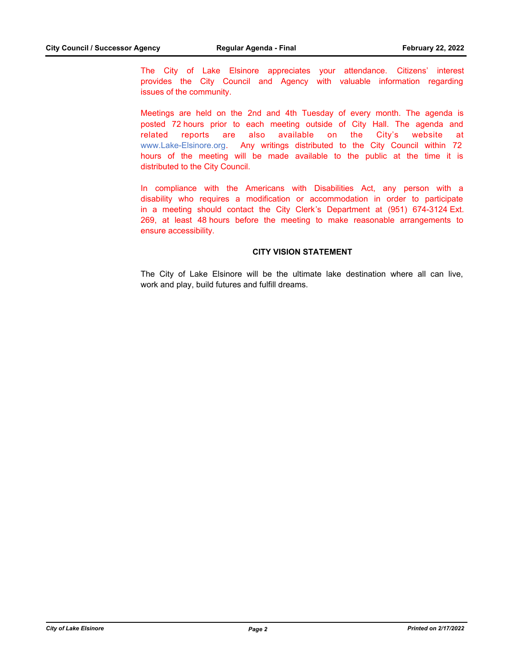The City of Lake Elsinore appreciates your attendance. Citizens' interest provides the City Council and Agency with valuable information regarding issues of the community.

Meetings are held on the 2nd and 4th Tuesday of every month. The agenda is posted 72 hours prior to each meeting outside of City Hall. The agenda and related reports are also available on the City's website at www.Lake-Elsinore.org. Any writings distributed to the City Council within 72 hours of the meeting will be made available to the public at the time it is distributed to the City Council.

In compliance with the Americans with Disabilities Act, any person with a disability who requires a modification or accommodation in order to participate in a meeting should contact the City Clerk's Department at (951) 674-3124 Ext. 269, at least 48 hours before the meeting to make reasonable arrangements to ensure accessibility.

## **CITY VISION STATEMENT**

The City of Lake Elsinore will be the ultimate lake destination where all can live, work and play, build futures and fulfill dreams.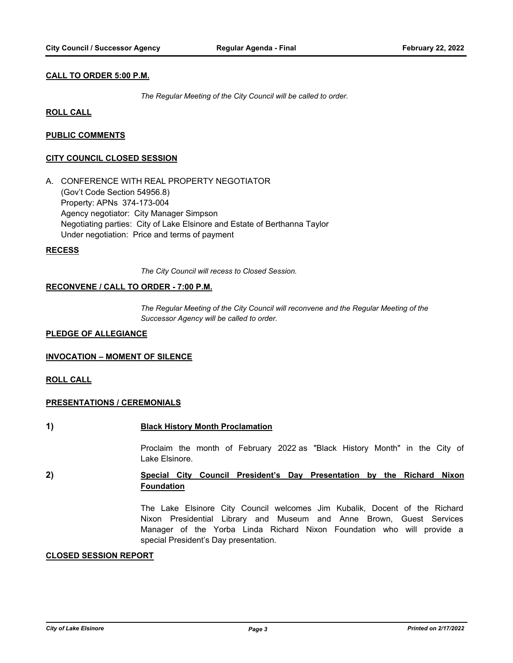# **CALL TO ORDER 5:00 P.M.**

*The Regular Meeting of the City Council will be called to order.*

# **ROLL CALL**

# **PUBLIC COMMENTS**

## **CITY COUNCIL CLOSED SESSION**

A. CONFERENCE WITH REAL PROPERTY NEGOTIATOR (Gov't Code Section 54956.8) Property: APNs 374-173-004 Agency negotiator: City Manager Simpson Negotiating parties: City of Lake Elsinore and Estate of Berthanna Taylor Under negotiation: Price and terms of payment

## **RECESS**

*The City Council will recess to Closed Session.*

## **RECONVENE / CALL TO ORDER - 7:00 P.M.**

*The Regular Meeting of the City Council will reconvene and the Regular Meeting of the Successor Agency will be called to order.*

## **PLEDGE OF ALLEGIANCE**

# **INVOCATION – MOMENT OF SILENCE**

# **ROLL CALL**

# **PRESENTATIONS / CEREMONIALS**

**1) Black History Month Proclamation**

Proclaim the month of February 2022 as "Black History Month" in the City of Lake Elsinore.

# **2) Special City Council President's Day Presentation by the Richard Nixon Foundation**

The Lake Elsinore City Council welcomes Jim Kubalik, Docent of the Richard Nixon Presidential Library and Museum and Anne Brown, Guest Services Manager of the Yorba Linda Richard Nixon Foundation who will provide a special President's Day presentation.

## **CLOSED SESSION REPORT**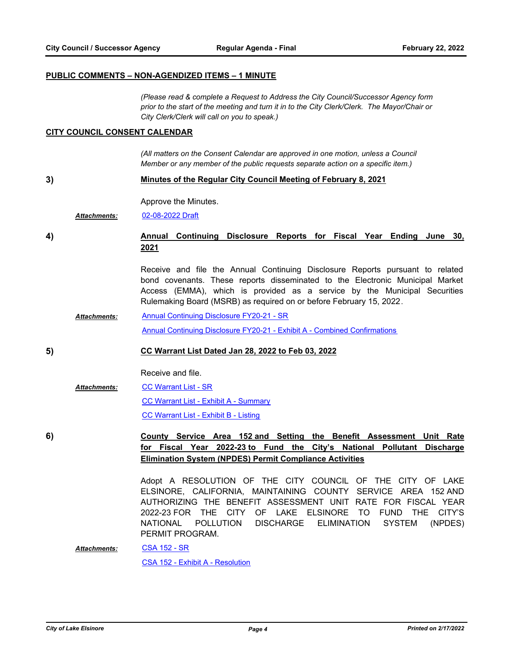# **PUBLIC COMMENTS – NON-AGENDIZED ITEMS – 1 MINUTE**

*(Please read & complete a Request to Address the City Council/Successor Agency form prior to the start of the meeting and turn it in to the City Clerk/Clerk. The Mayor/Chair or City Clerk/Clerk will call on you to speak.)*

#### **CITY COUNCIL CONSENT CALENDAR**

*(All matters on the Consent Calendar are approved in one motion, unless a Council Member or any member of the public requests separate action on a specific item.)*

**3) Minutes of the Regular City Council Meeting of February 8, 2021**

Approve the Minutes.

*Attachments:* [02-08-2022 Draft](http://lake-elsinore.legistar.com/gateway.aspx?M=F&ID=4dde7fdc-f350-4af0-adc0-c8855eb58fc9.pdf)

# **4) Annual Continuing Disclosure Reports for Fiscal Year Ending June 30, 2021**

Receive and file the Annual Continuing Disclosure Reports pursuant to related bond covenants. These reports disseminated to the Electronic Municipal Market Access (EMMA), which is provided as a service by the Municipal Securities Rulemaking Board (MSRB) as required on or before February 15, 2022.

[Annual Continuing Disclosure FY20-21 - SR](http://lake-elsinore.legistar.com/gateway.aspx?M=F&ID=2873edeb-9baf-49f7-9dfe-4e009ae1c8bb.doc) [Annual Continuing Disclosure FY20-21 - Exhibit A - Combined Confirmations](http://lake-elsinore.legistar.com/gateway.aspx?M=F&ID=7d0c4817-d4d2-468e-9be1-7d5e062ba270.pdf) *Attachments:*

## **5) CC Warrant List Dated Jan 28, 2022 to Feb 03, 2022**

Receive and file.

## [CC Warrant List - SR](http://lake-elsinore.legistar.com/gateway.aspx?M=F&ID=e1fdfbe8-67e1-4763-bdc8-c103f444d026.docx) [CC Warrant List - Exhibit A - Summary](http://lake-elsinore.legistar.com/gateway.aspx?M=F&ID=ddab4f52-a7a5-430f-b7ee-16b0587b27a5.pdf) [CC Warrant List - Exhibit B - Listing](http://lake-elsinore.legistar.com/gateway.aspx?M=F&ID=01d88807-e142-45b3-abc0-695f5e97112c.pdf) *Attachments:*

**6) County Service Area 152 and Setting the Benefit Assessment Unit Rate for Fiscal Year 2022-23 to Fund the City's National Pollutant Discharge Elimination System (NPDES) Permit Compliance Activities**

> Adopt A RESOLUTION OF THE CITY COUNCIL OF THE CITY OF LAKE ELSINORE, CALIFORNIA, MAINTAINING COUNTY SERVICE AREA 152 AND AUTHORIZING THE BENEFIT ASSESSMENT UNIT RATE FOR FISCAL YEAR 2022-23 FOR THE CITY OF LAKE ELSINORE TO FUND THE CITY'S NATIONAL POLLUTION DISCHARGE ELIMINATION SYSTEM (NPDES) PERMIT PROGRAM.

[CSA 152 - SR](http://lake-elsinore.legistar.com/gateway.aspx?M=F&ID=c94adc13-bfcb-4cad-a9e3-561f164eb48f.docx) [CSA 152 - Exhibit A - Resolution](http://lake-elsinore.legistar.com/gateway.aspx?M=F&ID=40d98dc5-1bf2-4da5-a3ad-d68770456527.docx) *Attachments:*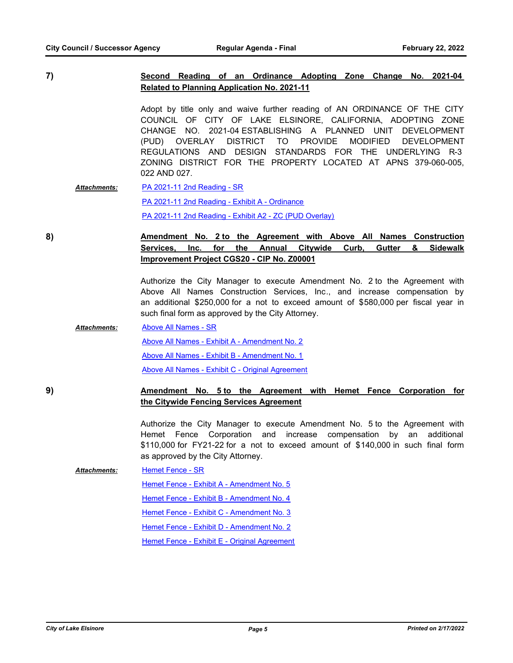**7) Second Reading of an Ordinance Adopting Zone Change No. 2021-04 Related to Planning Application No. 2021-11**

> Adopt by title only and waive further reading of AN ORDINANCE OF THE CITY COUNCIL OF CITY OF LAKE ELSINORE, CALIFORNIA, ADOPTING ZONE CHANGE NO. 2021-04 ESTABLISHING A PLANNED UNIT DEVELOPMENT (PUD) OVERLAY DISTRICT TO PROVIDE MODIFIED DEVELOPMENT REGULATIONS AND DESIGN STANDARDS FOR THE UNDERLYING R-3 ZONING DISTRICT FOR THE PROPERTY LOCATED AT APNS 379-060-005, 022 AND 027.

[PA 2021-11 2nd Reading - SR](http://lake-elsinore.legistar.com/gateway.aspx?M=F&ID=f3c06131-f1eb-4827-820b-2ff39083fb18.docx) [PA 2021-11 2nd Reading - Exhibit A - Ordinance](http://lake-elsinore.legistar.com/gateway.aspx?M=F&ID=d88b1586-e836-4848-af4b-d7c9582bee57.docx) [PA 2021-11 2nd Reading - Exhibit A2 - ZC \(PUD Overlay\)](http://lake-elsinore.legistar.com/gateway.aspx?M=F&ID=6bd437bd-472b-48af-bb10-2294221bad66.pdf) *Attachments:*

# **8) Amendment No. 2 to the Agreement with Above All Names Construction Services, Inc. for the Annual Citywide Curb, Gutter & Sidewalk Improvement Project CGS20 - CIP No. Z00001**

Authorize the City Manager to execute Amendment No. 2 to the Agreement with Above All Names Construction Services, Inc., and increase compensation by an additional \$250,000 for a not to exceed amount of \$580,000 per fiscal year in such final form as approved by the City Attorney.

- [Above All Names SR](http://lake-elsinore.legistar.com/gateway.aspx?M=F&ID=550d0a2e-d6b8-4b10-b519-126665a7fc68.docx) [Above All Names - Exhibit A - Amendment No. 2](http://lake-elsinore.legistar.com/gateway.aspx?M=F&ID=74efc282-b663-49ac-9df1-9cb273572a12.pdf) [Above All Names - Exhibit B - Amendment No. 1](http://lake-elsinore.legistar.com/gateway.aspx?M=F&ID=fb3ea531-a258-4d99-ad67-56186902b4de.pdf) [Above All Names - Exhibit C - Original Agreement](http://lake-elsinore.legistar.com/gateway.aspx?M=F&ID=fcbd3b1c-ae67-4c87-a98e-dfedeec4fc7e.pdf) *Attachments:*
- **9) Amendment No. 5 to the Agreement with Hemet Fence Corporation for the Citywide Fencing Services Agreement**

Authorize the City Manager to execute Amendment No. 5 to the Agreement with Hemet Fence Corporation and increase compensation by an additional \$110,000 for FY21-22 for a not to exceed amount of \$140,000 in such final form as approved by the City Attorney.

[Hemet Fence - SR](http://lake-elsinore.legistar.com/gateway.aspx?M=F&ID=fcacf061-54ab-437c-ab7c-22b7d1230180.docx) [Hemet Fence - Exhibit A - Amendment No. 5](http://lake-elsinore.legistar.com/gateway.aspx?M=F&ID=1e7d8db4-f2e5-4d44-9843-9191fdf5e9db.docx) [Hemet Fence - Exhibit B - Amendment No. 4](http://lake-elsinore.legistar.com/gateway.aspx?M=F&ID=b88446b6-9946-4636-8772-e1eb5b326043.pdf) [Hemet Fence - Exhibit C - Amendment No. 3](http://lake-elsinore.legistar.com/gateway.aspx?M=F&ID=bdecf09e-1546-42f3-9d69-222cc7de03cb.pdf) [Hemet Fence - Exhibit D - Amendment No. 2](http://lake-elsinore.legistar.com/gateway.aspx?M=F&ID=9a575614-f4d5-4b5d-914e-f5bd928f892f.pdf) *Attachments:*

[Hemet Fence - Exhibit E - Original Agreement](http://lake-elsinore.legistar.com/gateway.aspx?M=F&ID=c1cfa4a3-e322-4aec-90b5-ed7a883fe3cd.pdf)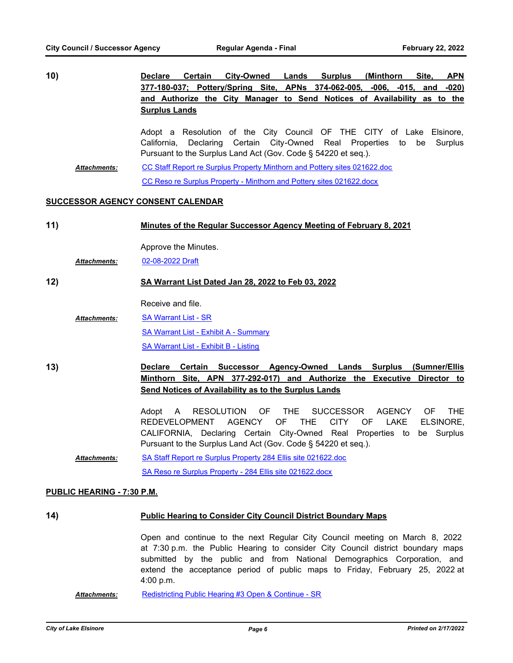**10) Declare Certain City-Owned Lands Surplus (Minthorn Site, APN 377-180-037; Pottery/Spring Site, APNs 374-062-005, -006, -015, and -020) and Authorize the City Manager to Send Notices of Availability as to the Surplus Lands**

Adopt a Resolution of the City Council OF THE CITY of Lake Elsinore, California, Declaring Certain City-Owned Real Properties to be Surplus Pursuant to the Surplus Land Act (Gov. Code § 54220 et seq.).

[CC Staff Report re Surplus Property Minthorn and Pottery sites 021622.doc](http://lake-elsinore.legistar.com/gateway.aspx?M=F&ID=8c9152e0-d8fd-4fde-890d-aa7035c20acc.doc) [CC Reso re Surplus Property - Minthorn and Pottery sites 021622.docx](http://lake-elsinore.legistar.com/gateway.aspx?M=F&ID=e35dd0d9-8772-4c8d-a0ca-47c82386320f.docx) *Attachments:*

## **SUCCESSOR AGENCY CONSENT CALENDAR**

| 11) | Minutes of the Regular Successor Agency Meeting of February 8, 2021 |
|-----|---------------------------------------------------------------------|
|     |                                                                     |
|     | Approve the Minutes                                                 |

Approve the Minutes. *Attachments:* [02-08-2022 Draft](http://lake-elsinore.legistar.com/gateway.aspx?M=F&ID=fbaa9a0d-9d57-4e53-8f60-9e20257ed142.pdf)

# **12) SA Warrant List Dated Jan 28, 2022 to Feb 03, 2022**

Receive and file.

**[SA Warrant List - SR](http://lake-elsinore.legistar.com/gateway.aspx?M=F&ID=44713446-39b3-4883-badd-d68f81bfbdce.docx)** [SA Warrant List - Exhibit A - Summary](http://lake-elsinore.legistar.com/gateway.aspx?M=F&ID=f2da80b8-8938-4c30-a310-1ba4b5fdce80.pdf) [SA Warrant List - Exhibit B - Listing](http://lake-elsinore.legistar.com/gateway.aspx?M=F&ID=9386486c-d9c0-4ac2-a333-2cced4ebbcba.pdf) *Attachments:*

**13) Declare Certain Successor Agency-Owned Lands Surplus (Sumner/Ellis Minthorn Site, APN 377-292-017) and Authorize the Executive Director to Send Notices of Availability as to the Surplus Lands**

> Adopt A RESOLUTION OF THE SUCCESSOR AGENCY OF THE REDEVELOPMENT AGENCY OF THE CITY OF LAKE ELSINORE, CALIFORNIA, Declaring Certain City-Owned Real Properties to be Surplus Pursuant to the Surplus Land Act (Gov. Code § 54220 et seq.).

[SA Staff Report re Surplus Property 284 Ellis site 021622.doc](http://lake-elsinore.legistar.com/gateway.aspx?M=F&ID=ec833bd9-f5ea-43e5-8c92-cd530e76ff24.doc) [SA Reso re Surplus Property - 284 Ellis site 021622.docx](http://lake-elsinore.legistar.com/gateway.aspx?M=F&ID=4dbf7446-c12c-4a63-80a4-020012024159.docx) *Attachments:*

## **PUBLIC HEARING - 7:30 P.M.**

# **14) Public Hearing to Consider City Council District Boundary Maps**

Open and continue to the next Regular City Council meeting on March 8, 2022 at 7:30 p.m. the Public Hearing to consider City Council district boundary maps submitted by the public and from National Demographics Corporation, and extend the acceptance period of public maps to Friday, February 25, 2022 at 4:00 p.m.

*Attachments:* [Redistricting Public Hearing #3 Open & Continue - SR](http://lake-elsinore.legistar.com/gateway.aspx?M=F&ID=01c69931-864a-4404-82f5-4268c6447ab4.docx)